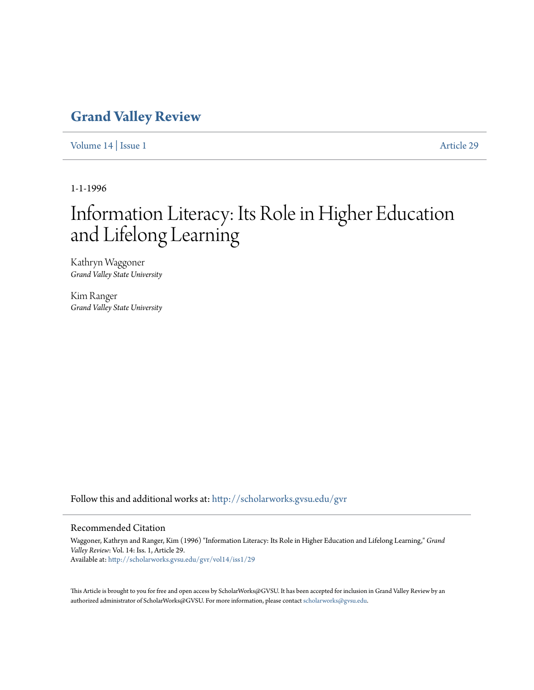# **[Grand Valley Review](http://scholarworks.gvsu.edu/gvr?utm_source=scholarworks.gvsu.edu%2Fgvr%2Fvol14%2Fiss1%2F29&utm_medium=PDF&utm_campaign=PDFCoverPages)**

[Volume 14](http://scholarworks.gvsu.edu/gvr/vol14?utm_source=scholarworks.gvsu.edu%2Fgvr%2Fvol14%2Fiss1%2F29&utm_medium=PDF&utm_campaign=PDFCoverPages) | [Issue 1](http://scholarworks.gvsu.edu/gvr/vol14/iss1?utm_source=scholarworks.gvsu.edu%2Fgvr%2Fvol14%2Fiss1%2F29&utm_medium=PDF&utm_campaign=PDFCoverPages) [Article 29](http://scholarworks.gvsu.edu/gvr/vol14/iss1/29?utm_source=scholarworks.gvsu.edu%2Fgvr%2Fvol14%2Fiss1%2F29&utm_medium=PDF&utm_campaign=PDFCoverPages)

1-1-1996

# Information Literacy: Its Role in Higher Education and Lifelong Learning

Kathryn Waggoner *Grand Valley State University*

Kim Ranger *Grand Valley State University*

Follow this and additional works at: [http://scholarworks.gvsu.edu/gvr](http://scholarworks.gvsu.edu/gvr?utm_source=scholarworks.gvsu.edu%2Fgvr%2Fvol14%2Fiss1%2F29&utm_medium=PDF&utm_campaign=PDFCoverPages)

## Recommended Citation

Waggoner, Kathryn and Ranger, Kim (1996) "Information Literacy: Its Role in Higher Education and Lifelong Learning," *Grand Valley Review*: Vol. 14: Iss. 1, Article 29. Available at: [http://scholarworks.gvsu.edu/gvr/vol14/iss1/29](http://scholarworks.gvsu.edu/gvr/vol14/iss1/29?utm_source=scholarworks.gvsu.edu%2Fgvr%2Fvol14%2Fiss1%2F29&utm_medium=PDF&utm_campaign=PDFCoverPages)

This Article is brought to you for free and open access by ScholarWorks@GVSU. It has been accepted for inclusion in Grand Valley Review by an authorized administrator of ScholarWorks@GVSU. For more information, please contact [scholarworks@gvsu.edu.](mailto:scholarworks@gvsu.edu)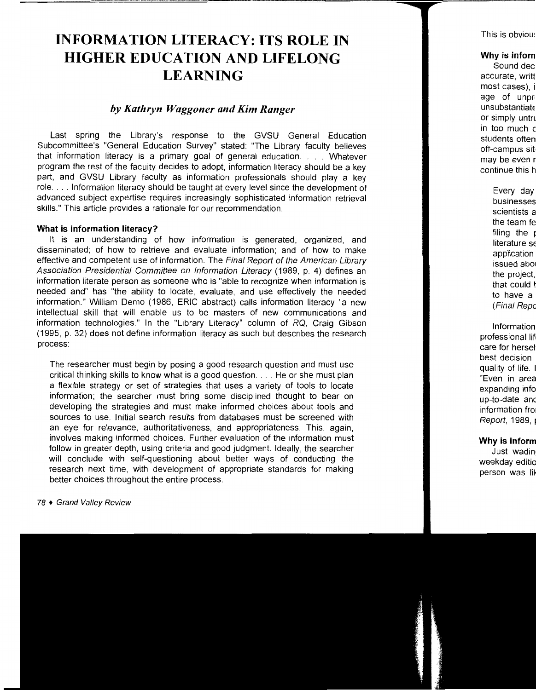# **INFORMATION LITERACY: ITS ROLE IN HIGHER EDUCATION AND LIFELONG LEARNING**

# *by Kathryn Waggoner and Kim Ranger*

Last spring the Library's response to the GVSU General Education Subcommittee's "General Education Survey" stated: "The Library faculty believes that information literacy is a primary goal of general education. . . . Whatever program the rest of the faculty decides to adopt, information literacy should be a key part, and GVSU Library faculty as information professionals should play a key role .... Information literacy should be taught at every level since the development of advanced subject expertise requires increasingly sophisticated information retrieval skills." This article provides a rationale for our recommendation.

## **What is information literacy?**

It is an understanding of how information is generated, organized, and disseminated; of how to retrieve and evaluate information; and of how to make effective and competent use of information. The Final Report of the American Library Association Presidential Committee on Information Literacy (1989, p. 4) defines an information literate person as someone who is "able to recognize when information is needed and" has "the ability to locate, evaluate, and use effectively the needed information." William Demo (1986, ERIC abstract) calls information literacy "a new intellectual skill that will enable us to be masters of new communications and information technologies." In the "Library Literacy" column of RQ, Craig Gibson (1995, p. 32) does not define information literacy as such but describes the research process:

The researcher must begin by posing a good research question and must use critical thinking skills to know what is a good question .... He or she must plan a flexible strategy or set of strategies that uses a variety of tools to locate information; the searcher must bring some disciplined thought to bear on developing the strategies and must make informed choices about tools and sources to use. Initial search results from databases must be screened with an eye for relevance, authoritativeness, and appropriateness. This, again, involves making informed choices. Further evaluation of the information must follow in greater depth, using criteria and good judgment. Ideally, the searcher will conclude with self-questioning about better ways of conducting the research next time, with development of appropriate standards for making better choices throughout the entire process.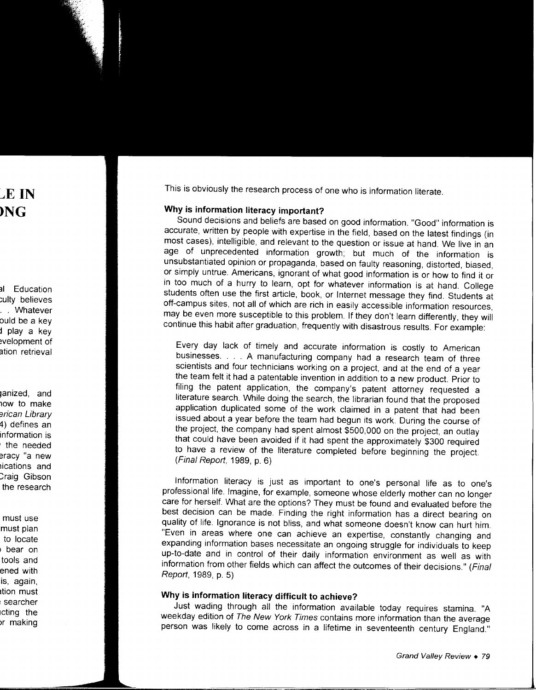This is obviously the research process of one who is information literate.

# **Why is information literacy important?**

Sound decisions and beliefs are based on good information. "Good" information is accurate, written by people with expertise in the field, based on the latest findings (in most cases), intelligible, and relevant to the question or issue at hand. We live in an age of unprecedented information growth; but much of the information is unsubstantiated opinion or propaganda, based on faulty reasoning, distorted, biased, or simply untrue. Americans, ignorant of what good information is or how to find it or in too much of a hurry to learn, opt for whatever information is at hand. College students often use the first article, book, or Internet message they find. Students at off-campus sites, not all of which are rich in easily accessible information resources, may be even more susceptible to this problem. If they don't learn differently, they will continue this habit after graduation, frequently with disastrous results. For example:

Every day lack of timely and accurate information is costly to American businesses. . . . A manufacturing company had a research team of three scientists and four technicians working on a project, and at the end of a year the team felt it had a patentable invention in addition to a new product. Prior to filing the patent application, the company's patent attorney requested a literature search. While doing the search, the librarian found that the proposed application duplicated some of the work claimed in a patent that had been issued about a year before the team had begun its work. During the course of the project, the company had spent almost \$500,000 on the project, an outlay that could have been avoided if it had spent the approximately \$300 required to have a review of the literature completed before beginning the project. (Final Report, 1989, p. 6)

Information literacy is just as important to one's personal life as to one's professional life. Imagine, for example, someone whose elderly mother can no longer care for herself. What are the options? They must be found and evaluated before the best decision can be made. Finding the right information has a direct bearing on quality of life. Ignorance is not bliss, and what someone doesn't know can hurt him. "Even in areas where one can achieve an expertise, constantly changing and expanding information bases necessitate an ongoing struggle for individuals to keep up-to-date and in control of their daily information environment as well as with information from other fields which can affect the outcomes of their decisions." (Final Report, 1989, p. 5)

# **Why is information literacy difficult to achieve?**

Just wading through all the information available today requires stamina. "A weekday edition of The New York Times contains more information than the average person was likely to come across in a lifetime in seventeenth century England."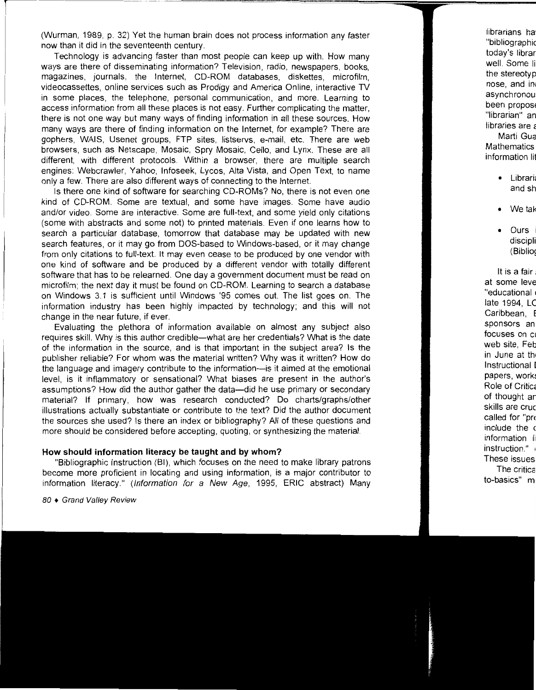(Wurman, 1989, p. 32) Yet the human brain does not process information any faster now than it did in the seventeenth century.

Technology is advancing faster than most people can keep up with. How many ways are there of disseminating information? Television, radio, newspapers, books, magazines, journals, the Internet, CD-ROM databases, diskettes, microfilm, videocassettes, online services such as Prodigy and America Online, interactive TV in some places, the telephone, personal communication, and more. Learning to access information from all these places is not easy. Further complicating the matter, there is not one way but many ways of finding information in all these sources. How many ways are there of finding information on the Internet, for example? There are gophers, WAIS, Usenet groups, FTP sites, listservs, e-mail, etc. There are web browsers, such as Netscape, Mosaic, Spry Mosaic, Cello, and Lynx. These are all different, with different protocols. Within a browser, there are multiple search engines: Webcrawler, Yahoo, lnfoseek, Lycos, Alta Vista, and Open Text, to name only a few. There are also different ways of connecting to the Internet.

Is there one kind of software for searching CO-ROMs? No, there is not even one kind of CD-ROM. Some are textual, and some have images. Some have audio and/or video. Some are interactive. Some are full-text, and some yield only citations (some with abstracts and some not) to printed materials. Even if one learns how to search a particular database, tomorrow that database may be updated with new search features, or it may go from DOS-based to Windows-based, or it may change from only citations to full-text. It may even cease to be produced by one vendor with one kind of software and be produced by a different vendor with totally different software that has to be relearned. One day a government document must be read on microfilm; the next day it must be found on CD-ROM. Learning to search a database on Windows 3.1 is sufficient until Windows '95 comes out. The list goes on. The information industry has been highly impacted by technology; and this will not change in the near future, if ever.

Evaluating the plethora of information available on almost any subject also requires skill. Why is this author credible-what are her credentials? What is the date of the information in the source, and is that important in the subject area? Is the publisher reliable? For whom was the material written? Why was it written? How do the language and imagery contribute to the information-is it aimed at the emotional level, is it inflammatory or sensational? What biases are present in the author's assumptions? How did the author gather the data-did he use primary or secondary material? If primary, how was research conducted? Do charts/graphs/other illustrations actually substantiate or contribute to the text? Did the author document the sources she used? Is there an index or bibliography? All of these questions and more should be considered before accepting, quoting, or synthesizing the material.

## **How should information literacy be taught and by whom?**

"Bibliographic Instruction (81), which focuses on the need to make library patrons become more proficient in locating and using information, is a major contributor to information literacy." (Information for a New Age, 1995, ERIC abstract) Many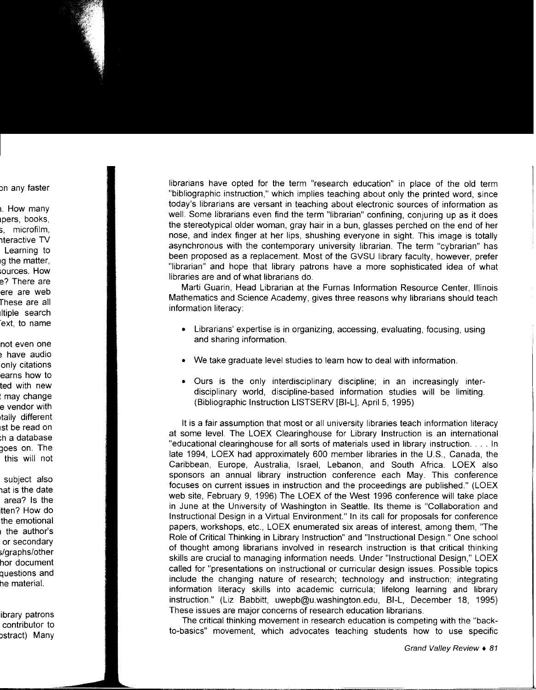librarians have opted for the term "research education" in place of the old term "bibliographic instruction," which implies teaching about only the printed word, since today's librarians are versant in teaching about electronic sources of information as well. Some librarians even find the term "librarian" confining, conjuring up as it does the stereotypical older woman, gray hair in a bun, glasses perched on the end of her nose, and index finger at her lips, shushing everyone in sight. This image is totally asynchronous with the contemporary university librarian. The term "cybrarian" has been proposed as a replacement. Most of the GVSU library faculty, however, prefer "librarian" and hope that library patrons have a more sophisticated idea of what libraries are and of what librarians do.

Marti Guarin, Head Librarian at the Furnas Information Resource Center, Illinois Mathematics and Science Academy, gives three reasons why librarians should teach information literacy:

- Librarians' expertise is in organizing, accessing, evaluating, focusing, using and sharing information.
- We take graduate level studies to learn how to deal with information.
- Ours is the only interdisciplinary discipline; in an increasingly interdisciplinary world, discipline-based information studies will be limiting. (Bibliographic Instruction LISTSERV [BI-L], April 5, 1995)

It is a fair assumption that most or all university libraries teach information literacy at some level. The LOEX Clearinghouse for Library Instruction is an international "educational clearinghouse for all sorts of materials used in library instruction .... In late 1994, LOEX had approximately 600 member libraries in the U.S., Canada, the Caribbean, Europe, Australia, Israel, Lebanon, and South Africa. LOEX also sponsors an annual library instruction conference each May. This conference focuses on current issues in instruction and the proceedings are published." (LOEX web site, February 9, 1996) The LOEX of the West 1996 conference will take place in June at the University of Washington in Seattle. Its theme is "Collaboration and Instructional Design in a Virtual Environment." In its call for proposals for conference papers, workshops, etc., LOEX enumerated six areas of interest, among them, "The Role of Critical Thinking in Library Instruction" and "Instructional Design." One school of thought among librarians involved in research instruction is that critical thinking skills are crucial to managing information needs. Under "Instructional Design," LOEX called for "presentations on instructional or curricular design issues. Possible topics include the changing nature of research; technology and instruction; integrating information literacy skills into academic curricula; lifelong learning and library instruction." (Liz Babbitt, uwepb@u.washington.edu, BI-L, December 18, 1995) These issues are major concerns of research education librarians.

The critical thinking movement in research education is competing with the "backto-basics" movement, which advocates teaching students how to use specific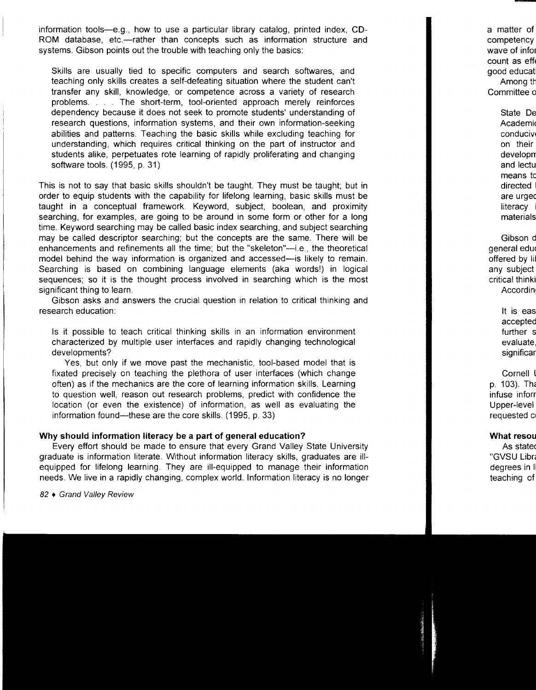information tools-e.g., how to use a particular library catalog, printed index, CD-ROM database, etc.—rather than concepts such as information structure and systems. Gibson points out the trouble with teaching only the basics:

Skills are usually tied to specific computers and search softwares, and teaching only skills creates a self-defeating situation where the student can't transfer any skill, knowledge, or competence across a variety of research problems. . . . The short-term, tool-oriented approach merely reinforces dependency because it does not seek to promote students' understanding of research questions, information systems, and their own information-seeking abilities and patterns. Teaching the basic skills while excluding teaching for understanding, which requires critical thinking on the part of instructor and students alike, perpetuates rote learning of rapidly proliferating and changing software tools. (1995, p. 31)

This is not to say that basic skills shouldn't be taught. They must be taught; but in order to equip students with the capability for lifelong learning, basic skills must be taught in a conceptual framework. Keyword, subject, boolean, and proximity searching, for examples, are going to be around in some form or other for a long time. Keyword searching may be called basic index searching, and subject searching may be called descriptor searching; but the concepts are the same. There will be enhancements and refinements all the time; but the "skeleton"-i.e., the theoretical model behind the way information is organized and accessed—is likely to remain. Searching is based on combining language elements (aka words!) in logical sequences; so it is the thought process involved in searching which is the most significant thing to learn.

Gibson asks and answers the crucial question in relation to critical thinking and research education:

Is it possible to teach critical thinking skills in an information environment characterized by multiple user interfaces and rapidly changing technological developments?

Yes, but only if we move past the mechanistic, tool-based model that is fixated precisely on teaching the plethora of user interfaces (which change often) as if the mechanics are the core of learning information skills. Learning to question well, reason out research problems, predict with confidence the location (or even the existence) of information, as well as evaluating the information found—these are the core skills. (1995, p. 33)

## **Why should information literacy be a part of general education?**

Every effort should be made to ensure that every Grand Valley State University graduate is information literate. Without information literacy skills, graduates are illequipped for lifelong learning. They are ill-equipped to manage their information needs. We live in a rapidly changing, complex world. Information literacy is no longer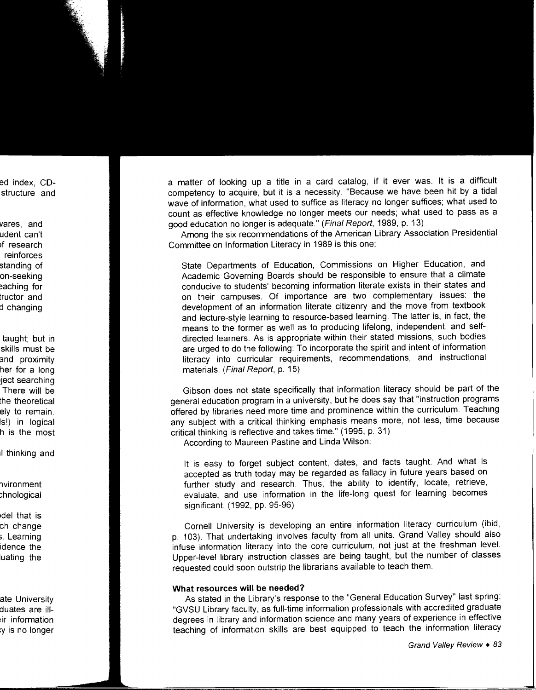a matter of looking up a title in a card catalog, if it ever was. It is a difficult competency to acquire, but it is a necessity. "Because we have been hit by a tidal wave of information, what used to suffice as literacy no longer suffices; what used to count as effective knowledge no longer meets our needs; what used to pass as a good education no longer is adequate." (Final Report, 1989, p. 13)

Among the six recommendations of the American Library Association Presidential Committee on Information Literacy in 1989 is this one:

State Departments of Education, Commissions on Higher Education, and Academic Governing Boards should be responsible to ensure that a climate conducive to students' becoming information literate exists in their states and on their campuses. Of importance are two complementary issues: the development of an information literate citizenry and the move from textbook and lecture-style learning to resource-based learning. The latter is, in fact, the means to the former as well as to producing lifelong, independent, and selfdirected learners. As is appropriate within their stated missions, such bodies are urged to do the following: To incorporate the spirit and intent of information literacy into curricular requirements, recommendations, and instructional materials. (Final Report, p. 15)

Gibson does not state specifically that information literacy should be part of the general education program in a university, but he does say that "instruction programs offered by libraries need more time and prominence within the curriculum. Teaching any subject with a critical thinking emphasis means more, not less, time because critical thinking is reflective and takes time." (1995, p. 31)

According to Maureen Pastine and Linda Wilson:

It is easy to forget subject content, dates, and facts taught. And what is accepted as truth today may be regarded as fallacy in future years based on further study and research. Thus, the ability to identify, locate, retrieve, evaluate, and use information in the life-long quest for learning becomes significant. ( 1992, pp. 95-96)

Cornell University is developing an entire information literacy curriculum (ibid, p. 103). That undertaking involves faculty from all units. Grand Valley should also infuse information literacy into the core curriculum, not just at the freshman level. Upper-level library instruction classes are being taught, but the number of classes requested could soon outstrip the librarians available to teach them.

# **What resources will be needed?**

As stated in the Library's response to the "General Education Survey" last spring: "GVSU Library faculty, as full-time information professionals with accredited graduate degrees in library and information science and many years of experience in effective teaching of information skills are best equipped to teach the information literacy